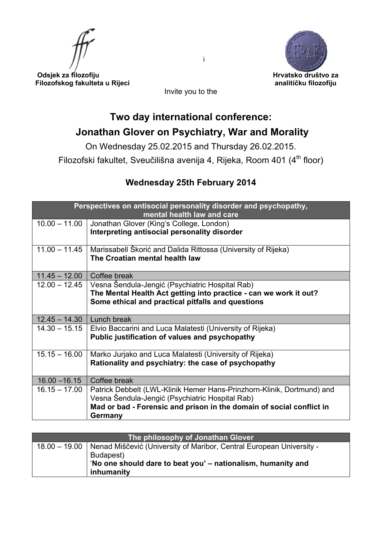



 **Odsjek za filozofiju Hrvatsko društvo za Filozofskog fakulteta u Rijeci analitičku filozofiju** 

Invite you to the

## **Two day international conference: Jonathan Glover on Psychiatry, War and Morality**

On Wednesday 25.02.2015 and Thursday 26.02.2015.

Filozofski fakultet, Sveučilišna avenija 4, Rijeka, Room 401 (4<sup>th</sup> floor)

## **Wednesday 25th February 2014**

| Perspectives on antisocial personality disorder and psychopathy,<br>mental health law and care |                                                                                                                                                                                                   |  |
|------------------------------------------------------------------------------------------------|---------------------------------------------------------------------------------------------------------------------------------------------------------------------------------------------------|--|
| $10.00 - 11.00$                                                                                | Jonathan Glover (King's College, London)<br>Interpreting antisocial personality disorder                                                                                                          |  |
| $11.00 - 11.45$                                                                                | Marissabell Škorić and Dalida Rittossa (University of Rijeka)<br>The Croatian mental health law                                                                                                   |  |
| $11.45 - 12.00$                                                                                | Coffee break                                                                                                                                                                                      |  |
| $12.00 - 12.45$                                                                                | Vesna Šendula-Jengić (Psychiatric Hospital Rab)                                                                                                                                                   |  |
|                                                                                                | The Mental Health Act getting into practice - can we work it out?                                                                                                                                 |  |
|                                                                                                | Some ethical and practical pitfalls and questions                                                                                                                                                 |  |
| $12.45 - 14.30$                                                                                | Lunch break                                                                                                                                                                                       |  |
| $14.30 - 15.15$                                                                                | Elvio Baccarini and Luca Malatesti (University of Rijeka)<br>Public justification of values and psychopathy                                                                                       |  |
| $15.15 - 16.00$                                                                                | Marko Jurjako and Luca Malatesti (University of Rijeka)<br>Rationality and psychiatry: the case of psychopathy                                                                                    |  |
| $16.00 - 16.15$                                                                                | Coffee break                                                                                                                                                                                      |  |
| $16.15 - 17.00$                                                                                | Patrick Debbelt (LWL-Klinik Hemer Hans-Prinzhorn-Klinik, Dortmund) and<br>Vesna Šendula-Jengić (Psychiatric Hospital Rab)<br>Mad or bad - Forensic and prison in the domain of social conflict in |  |
|                                                                                                | Germany                                                                                                                                                                                           |  |

| The philosophy of Jonathan Glover |                                                                                      |  |
|-----------------------------------|--------------------------------------------------------------------------------------|--|
|                                   | 18.00 – 19.00   Nenad Miščević (University of Maribor, Central European University - |  |
|                                   | Budapest)                                                                            |  |
|                                   | No one should dare to beat you' - nationalism, humanity and                          |  |
|                                   | inhumanity                                                                           |  |